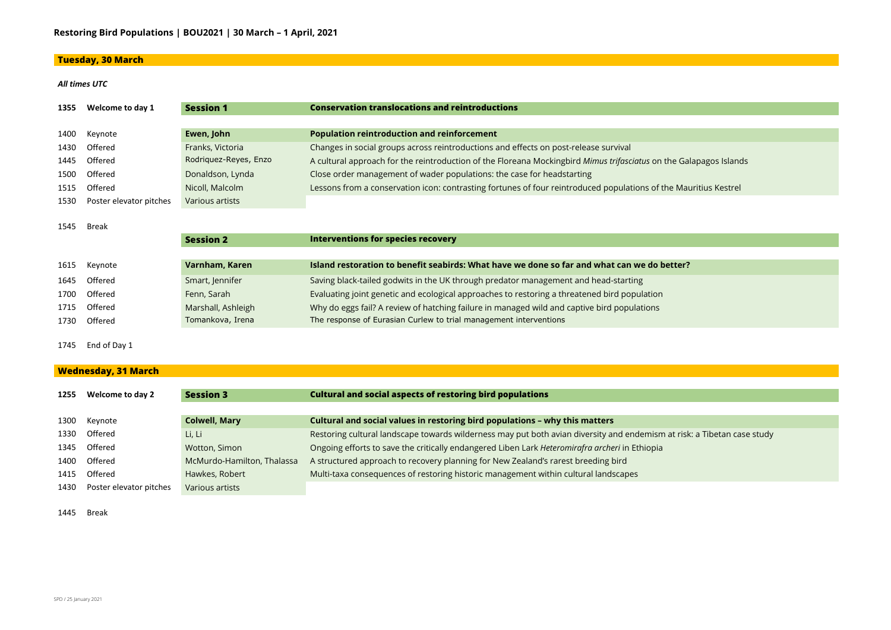### **Tuesday, 30 March**

#### *All times UTC*



at risk: a Tibetan case study

| 1355          | Welcome to day 1        | <b>Session 1</b>      | <b>Conservation translocations and reintroductions</b>                                                            |
|---------------|-------------------------|-----------------------|-------------------------------------------------------------------------------------------------------------------|
|               |                         |                       |                                                                                                                   |
| 1400          | Keynote                 | Ewen, John            | <b>Population reintroduction and reinforcement</b>                                                                |
| 1430          | Offered                 | Franks, Victoria      | Changes in social groups across reintroductions and effects on post-release survival                              |
| 1445          | Offered                 | Rodriquez-Reyes, Enzo | A cultural approach for the reintroduction of the Floreana Mockingbird Mimus trifasciatus on the Galapagos Island |
| 1500          | Offered                 | Donaldson, Lynda      | Close order management of wader populations: the case for headstarting                                            |
| 1515          | Offered                 | Nicoll, Malcolm       | Lessons from a conservation icon: contrasting fortunes of four reintroduced populations of the Mauritius Kestrel  |
| 1530          | Poster elevator pitches | Various artists       |                                                                                                                   |
|               |                         |                       |                                                                                                                   |
| 1545<br>Break |                         |                       |                                                                                                                   |
|               |                         | <b>Session 2</b>      | <b>Interventions for species recovery</b>                                                                         |
|               |                         |                       |                                                                                                                   |
| 1615          | Keynote                 | Varnham, Karen        | Island restoration to benefit seabirds: What have we done so far and what can we do better?                       |
| 1645          | Offered                 | Smart, Jennifer       | Saving black-tailed godwits in the UK through predator management and head-starting                               |
| 1700          | Offered                 | Fenn, Sarah           | Evaluating joint genetic and ecological approaches to restoring a threatened bird population                      |

Offered Marshall, Ashleigh Why do eggs fail? A review of hatching failure in managed wild and captive bird populations

1730 Offered Tomankova, Irena The response of Eurasian Curlew to trial management interventions

End of Day 1

### **Wednesday, 31 March**

| 1255 | <b>Welcome to day 2</b> | <b>Session 3</b>           | <b>Cultural and social aspects of restoring bird populations</b>                               |
|------|-------------------------|----------------------------|------------------------------------------------------------------------------------------------|
|      |                         |                            |                                                                                                |
| 1300 | Keynote                 | <b>Colwell, Mary</b>       | Cultural and social values in restoring bird populations - why this matters                    |
| 1330 | Offered                 | Li, Li                     | Restoring cultural landscape towards wilderness may put both avian diversity and endemism a    |
| 1345 | Offered                 | Wotton, Simon              | Ongoing efforts to save the critically endangered Liben Lark Heteromirafra archeri in Ethiopia |
| 1400 | Offered                 | McMurdo-Hamilton, Thalassa | A structured approach to recovery planning for New Zealand's rarest breeding bird              |
| 1415 | Offered                 | Hawkes, Robert             | Multi-taxa consequences of restoring historic management within cultural landscapes            |
| 1430 | Poster elevator pitches | Various artists            |                                                                                                |

Break